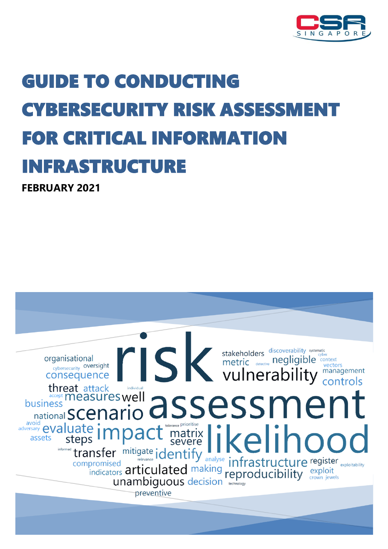

# GUIDE TO CONDUCTING YBERSECURITY RISK ASSESSMEN FOR CRITICAL INFORMATION **NFRASTRUCTURE**

**FEBRUARY 2021** 

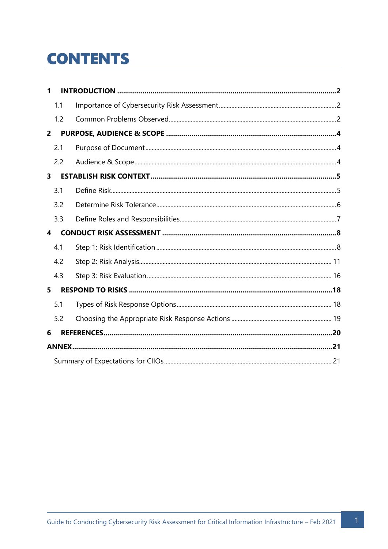## **CONTENTS**

| 1.1            |  |
|----------------|--|
| 1.2            |  |
| $\overline{2}$ |  |
| 2.1            |  |
| 2.2            |  |
| 3              |  |
| 3.1            |  |
| 3.2            |  |
| 3.3            |  |
| 4              |  |
| 4.1            |  |
| 4.2            |  |
|                |  |
| 4.3            |  |
| 5              |  |
| 5.1            |  |
| 5.2            |  |
| 6              |  |
|                |  |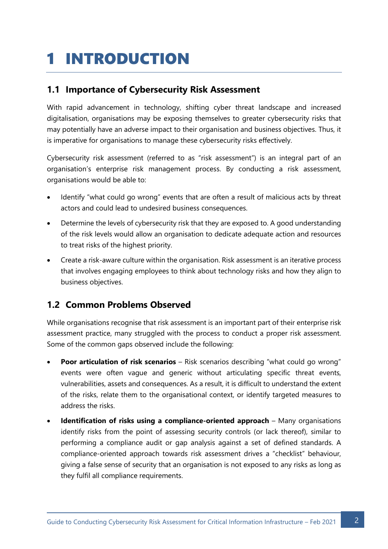## <span id="page-2-0"></span>1 INTRODUCTION

### <span id="page-2-1"></span>**1.1 Importance of Cybersecurity Risk Assessment**

With rapid advancement in technology, shifting cyber threat landscape and increased digitalisation, organisations may be exposing themselves to greater cybersecurity risks that may potentially have an adverse impact to their organisation and business objectives. Thus, it is imperative for organisations to manage these cybersecurity risks effectively.

Cybersecurity risk assessment (referred to as "risk assessment") is an integral part of an organisation's enterprise risk management process. By conducting a risk assessment, organisations would be able to:

- Identify "what could go wrong" events that are often a result of malicious acts by threat actors and could lead to undesired business consequences.
- Determine the levels of cybersecurity risk that they are exposed to. A good understanding of the risk levels would allow an organisation to dedicate adequate action and resources to treat risks of the highest priority.
- Create a risk-aware culture within the organisation. Risk assessment is an iterative process that involves engaging employees to think about technology risks and how they align to business objectives.

## <span id="page-2-2"></span>**1.2 Common Problems Observed**

While organisations recognise that risk assessment is an important part of their enterprise risk assessment practice, many struggled with the process to conduct a proper risk assessment. Some of the common gaps observed include the following:

- **Poor articulation of risk scenarios** Risk scenarios describing "what could go wrong" events were often vague and generic without articulating specific threat events, vulnerabilities, assets and consequences. As a result, it is difficult to understand the extent of the risks, relate them to the organisational context, or identify targeted measures to address the risks.
- **Identification of risks using a compliance-oriented approach** Many organisations identify risks from the point of assessing security controls (or lack thereof), similar to performing a compliance audit or gap analysis against a set of defined standards. A compliance-oriented approach towards risk assessment drives a "checklist" behaviour, giving a false sense of security that an organisation is not exposed to any risks as long as they fulfil all compliance requirements.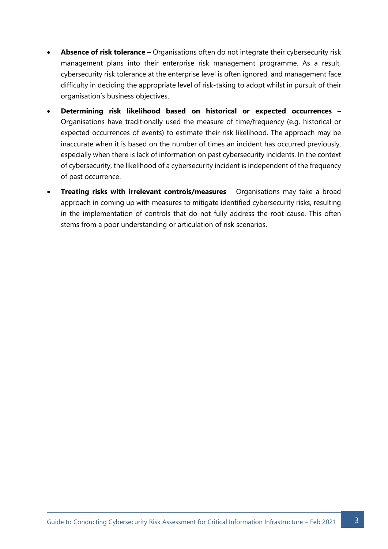- **Absence of risk tolerance**  Organisations often do not integrate their cybersecurity risk management plans into their enterprise risk management programme. As a result, cybersecurity risk tolerance at the enterprise level is often ignored, and management face difficulty in deciding the appropriate level of risk-taking to adopt whilst in pursuit of their organisation's business objectives.
- **Determining risk likelihood based on historical or expected occurrences** Organisations have traditionally used the measure of time/frequency (e.g. historical or expected occurrences of events) to estimate their risk likelihood. The approach may be inaccurate when it is based on the number of times an incident has occurred previously, especially when there is lack of information on past cybersecurity incidents. In the context of cybersecurity, the likelihood of a cybersecurity incident is independent of the frequency of past occurrence.
- **Treating risks with irrelevant controls/measures** Organisations may take a broad approach in coming up with measures to mitigate identified cybersecurity risks, resulting in the implementation of controls that do not fully address the root cause. This often stems from a poor understanding or articulation of risk scenarios.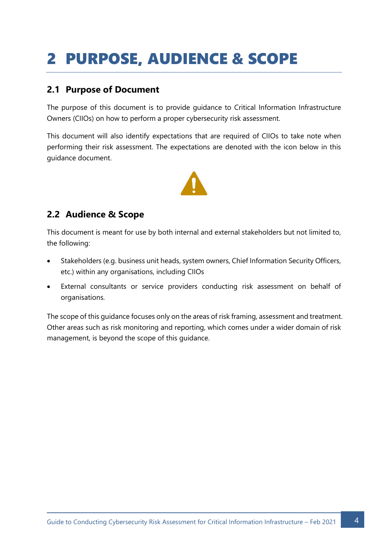## <span id="page-4-0"></span>2 PURPOSE, AUDIENCE & SCOPE

### <span id="page-4-1"></span>**2.1 Purpose of Document**

The purpose of this document is to provide guidance to Critical Information Infrastructure Owners (CIIOs) on how to perform a proper cybersecurity risk assessment.

This document will also identify expectations that are required of CIIOs to take note when performing their risk assessment. The expectations are denoted with the icon below in this guidance document.



### <span id="page-4-2"></span>**2.2 Audience & Scope**

This document is meant for use by both internal and external stakeholders but not limited to, the following:

- Stakeholders (e.g. business unit heads, system owners, Chief Information Security Officers, etc.) within any organisations, including CIIOs
- External consultants or service providers conducting risk assessment on behalf of organisations.

The scope of this guidance focuses only on the areas of risk framing, assessment and treatment. Other areas such as risk monitoring and reporting, which comes under a wider domain of risk management, is beyond the scope of this guidance.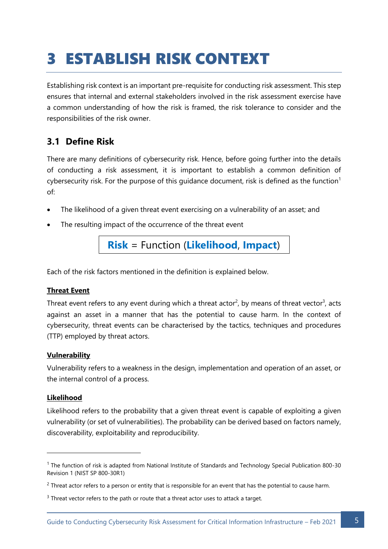## <span id="page-5-0"></span>3 ESTABLISH RISK CONTEXT

Establishing risk context is an important pre-requisite for conducting risk assessment. This step ensures that internal and external stakeholders involved in the risk assessment exercise have a common understanding of how the risk is framed, the risk tolerance to consider and the responsibilities of the risk owner.

## <span id="page-5-1"></span>**3.1 Define Risk**

There are many definitions of cybersecurity risk. Hence, before going further into the details of conducting a risk assessment, it is important to establish a common definition of cybersecurity risk. For the purpose of this guidance document, risk is defined as the function<sup>1</sup> of:

- The likelihood of a given threat event exercising on a vulnerability of an asset; and
- The resulting impact of the occurrence of the threat event

**Risk** = Function (**Likelihood**, **Impact**)

Each of the risk factors mentioned in the definition is explained below.

#### **Threat Event**

Threat event refers to any event during which a threat actor<sup>2</sup>, by means of threat vector<sup>3</sup>, acts against an asset in a manner that has the potential to cause harm. In the context of cybersecurity, threat events can be characterised by the tactics, techniques and procedures (TTP) employed by threat actors.

#### **Vulnerability**

Vulnerability refers to a weakness in the design, implementation and operation of an asset, or the internal control of a process.

#### **Likelihood**

Likelihood refers to the probability that a given threat event is capable of exploiting a given vulnerability (or set of vulnerabilities). The probability can be derived based on factors namely, discoverability, exploitability and reproducibility.

<sup>1</sup> The function of risk is adapted from National Institute of Standards and Technology Special Publication 800-30 Revision 1 (NIST SP 800-30R1)

 $2$  Threat actor refers to a person or entity that is responsible for an event that has the potential to cause harm.

<sup>&</sup>lt;sup>3</sup> Threat vector refers to the path or route that a threat actor uses to attack a target.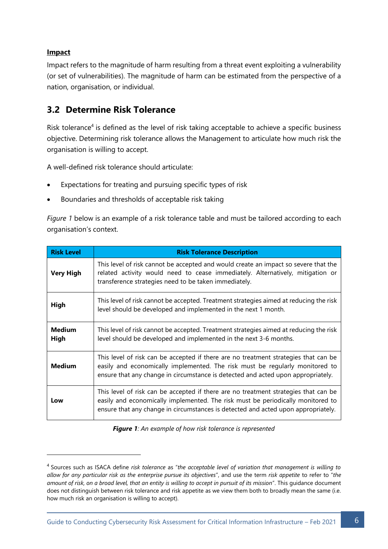#### **Impact**

Impact refers to the magnitude of harm resulting from a threat event exploiting a vulnerability (or set of vulnerabilities). The magnitude of harm can be estimated from the perspective of a nation, organisation, or individual.

### <span id="page-6-0"></span>**3.2 Determine Risk Tolerance**

Risk tolerance<sup>4</sup> is defined as the level of risk taking acceptable to achieve a specific business objective. Determining risk tolerance allows the Management to articulate how much risk the organisation is willing to accept.

A well-defined risk tolerance should articulate:

- Expectations for treating and pursuing specific types of risk
- Boundaries and thresholds of acceptable risk taking

*Figure 1* below is an example of a risk tolerance table and must be tailored according to each organisation's context.

| <b>Risk Level</b>     | <b>Risk Tolerance Description</b>                                                                                                                                                                                                                           |
|-----------------------|-------------------------------------------------------------------------------------------------------------------------------------------------------------------------------------------------------------------------------------------------------------|
| <b>Very High</b>      | This level of risk cannot be accepted and would create an impact so severe that the<br>related activity would need to cease immediately. Alternatively, mitigation or<br>transference strategies need to be taken immediately.                              |
| High                  | This level of risk cannot be accepted. Treatment strategies aimed at reducing the risk<br>level should be developed and implemented in the next 1 month.                                                                                                    |
| <b>Medium</b><br>High | This level of risk cannot be accepted. Treatment strategies aimed at reducing the risk<br>level should be developed and implemented in the next 3-6 months.                                                                                                 |
| <b>Medium</b>         | This level of risk can be accepted if there are no treatment strategies that can be<br>easily and economically implemented. The risk must be regularly monitored to<br>ensure that any change in circumstance is detected and acted upon appropriately.     |
| Low                   | This level of risk can be accepted if there are no treatment strategies that can be<br>easily and economically implemented. The risk must be periodically monitored to<br>ensure that any change in circumstances is detected and acted upon appropriately. |

*Figure 1: An example of how risk tolerance is represented*

<sup>4</sup> Sources such as ISACA define *risk tolerance* as "*the acceptable level of variation that management is willing to allow for any particular risk as the enterprise pursue its objectives*", and use the term *risk appetite* to refer to "*the amount of risk, on a broad level, that an entity is willing to accept in pursuit of its mission*". This guidance document does not distinguish between risk tolerance and risk appetite as we view them both to broadly mean the same (i.e. how much risk an organisation is willing to accept).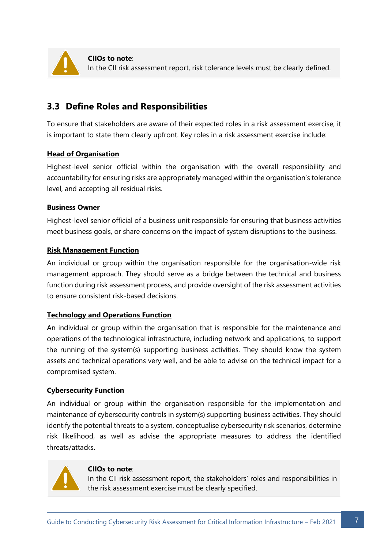

**CIIOs to note**: In the CII risk assessment report, risk tolerance levels must be clearly defined.

### <span id="page-7-0"></span>**3.3 Define Roles and Responsibilities**

To ensure that stakeholders are aware of their expected roles in a risk assessment exercise, it is important to state them clearly upfront. Key roles in a risk assessment exercise include:

#### **Head of Organisation**

Highest-level senior official within the organisation with the overall responsibility and accountability for ensuring risks are appropriately managed within the organisation's tolerance level, and accepting all residual risks.

#### **Business Owner**

Highest-level senior official of a business unit responsible for ensuring that business activities meet business goals, or share concerns on the impact of system disruptions to the business.

#### **Risk Management Function**

An individual or group within the organisation responsible for the organisation-wide risk management approach. They should serve as a bridge between the technical and business function during risk assessment process, and provide oversight of the risk assessment activities to ensure consistent risk-based decisions.

#### **Technology and Operations Function**

An individual or group within the organisation that is responsible for the maintenance and operations of the technological infrastructure, including network and applications, to support the running of the system(s) supporting business activities. They should know the system assets and technical operations very well, and be able to advise on the technical impact for a compromised system.

#### **Cybersecurity Function**

An individual or group within the organisation responsible for the implementation and maintenance of cybersecurity controls in system(s) supporting business activities. They should identify the potential threats to a system, conceptualise cybersecurity risk scenarios, determine risk likelihood, as well as advise the appropriate measures to address the identified threats/attacks.



#### **CIIOs to note**:

In the CII risk assessment report, the stakeholders' roles and responsibilities in the risk assessment exercise must be clearly specified.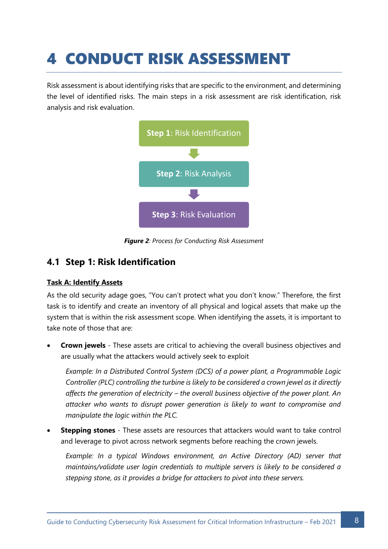## <span id="page-8-0"></span>4 CONDUCT RISK ASSESSMENT

Risk assessment is about identifying risks that are specific to the environment, and determining the level of identified risks. The main steps in a risk assessment are risk identification, risk analysis and risk evaluation.



*Figure 2: Process for Conducting Risk Assessment*

## <span id="page-8-1"></span>**4.1 Step 1: Risk Identification**

#### **Task A: Identify Assets**

As the old security adage goes, "You can't protect what you don't know." Therefore, the first task is to identify and create an inventory of all physical and logical assets that make up the system that is within the risk assessment scope. When identifying the assets, it is important to take note of those that are:

• **Crown jewels** - These assets are critical to achieving the overall business objectives and are usually what the attackers would actively seek to exploit

*Example: In a Distributed Control System (DCS) of a power plant, a Programmable Logic Controller (PLC) controlling the turbine is likely to be considered a crown jewel as it directly affects the generation of electricity – the overall business objective of the power plant. An attacker who wants to disrupt power generation is likely to want to compromise and manipulate the logic within the PLC.*

• **Stepping stones** - These assets are resources that attackers would want to take control and leverage to pivot across network segments before reaching the crown jewels.

*Example: In a typical Windows environment, an Active Directory (AD) server that maintains/validate user login credentials to multiple servers is likely to be considered a stepping stone, as it provides a bridge for attackers to pivot into these servers.*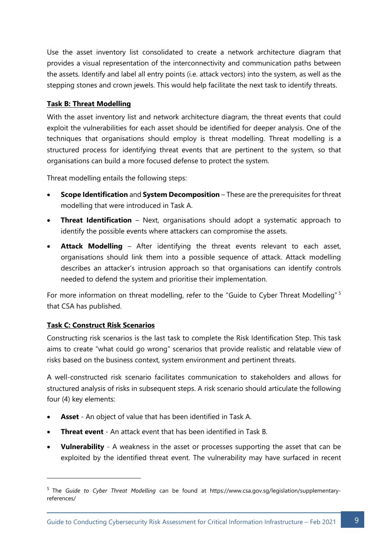Use the asset inventory list consolidated to create a network architecture diagram that provides a visual representation of the interconnectivity and communication paths between the assets. Identify and label all entry points (i.e. attack vectors) into the system, as well as the stepping stones and crown jewels. This would help facilitate the next task to identify threats.

#### **Task B: Threat Modelling**

With the asset inventory list and network architecture diagram, the threat events that could exploit the vulnerabilities for each asset should be identified for deeper analysis. One of the techniques that organisations should employ is threat modelling. Threat modelling is a structured process for identifying threat events that are pertinent to the system, so that organisations can build a more focused defense to protect the system.

Threat modelling entails the following steps:

- **Scope Identification** and **System Decomposition** These are the prerequisites for threat modelling that were introduced in Task A.
- **Threat Identification** Next, organisations should adopt a systematic approach to identify the possible events where attackers can compromise the assets.
- **Attack Modelling**  After identifying the threat events relevant to each asset, organisations should link them into a possible sequence of attack. Attack modelling describes an attacker's intrusion approach so that organisations can identify controls needed to defend the system and prioritise their implementation.

For more information on threat modelling, refer to the "Guide to Cyber Threat Modelling" <sup>5</sup> that CSA has published.

#### **Task C: Construct Risk Scenarios**

Constructing risk scenarios is the last task to complete the Risk Identification Step. This task aims to create "what could go wrong" scenarios that provide realistic and relatable view of risks based on the business context, system environment and pertinent threats.

A well-constructed risk scenario facilitates communication to stakeholders and allows for structured analysis of risks in subsequent steps. A risk scenario should articulate the following four (4) key elements:

- **Asset** An object of value that has been identified in Task A.
- **Threat event** An attack event that has been identified in Task B.
- **Vulnerability** A weakness in the asset or processes supporting the asset that can be exploited by the identified threat event. The vulnerability may have surfaced in recent

<sup>5</sup> The *Guide to Cyber Threat Modelling* can be found at https://www.csa.gov.sg/legislation/supplementaryreferences/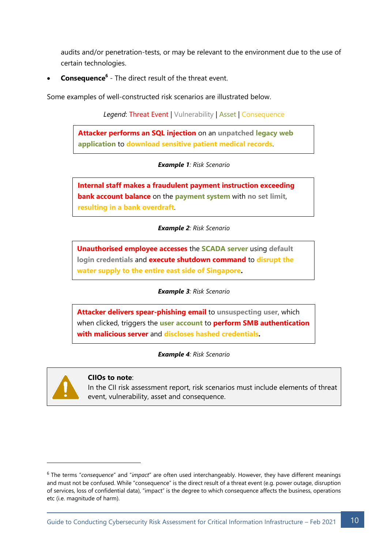audits and/or penetration-tests, or may be relevant to the environment due to the use of certain technologies.

**Consequence<sup>6</sup>** - The direct result of the threat event.

Some examples of well-constructed risk scenarios are illustrated below.

*Legend*: Threat Event | Vulnerability | Asset | Consequence

**Attacker performs an SQL injection** on an **unpatched legacy web application** to **download sensitive patient medical records**.

*Example 1: Risk Scenario*

**Internal staff makes a fraudulent payment instruction exceeding bank account balance** on the **payment system** with **no set limit**, **resulting in a bank overdraft**.

*Example 2: Risk Scenario*

**Unauthorised employee accesses** the **SCADA server** using **default login credentials** and **execute shutdown command** to **disrupt the water supply to the entire east side of Singapore.**

*Example 3: Risk Scenario*

**Attacker delivers spear-phishing email** to **unsuspecting user**, which when clicked, triggers the **user account** to **perform SMB authentication with malicious server** and **discloses hashed credentials.**

*Example 4: Risk Scenario*



#### **CIIOs to note**:

In the CII risk assessment report, risk scenarios must include elements of threat event, vulnerability, asset and consequence.

<sup>6</sup> The terms "*consequence*" and "*impact*" are often used interchangeably. However, they have different meanings and must not be confused. While "consequence" is the direct result of a threat event (e.g. power outage, disruption of services, loss of confidential data), "impact" is the degree to which consequence affects the business, operations etc (i.e. magnitude of harm).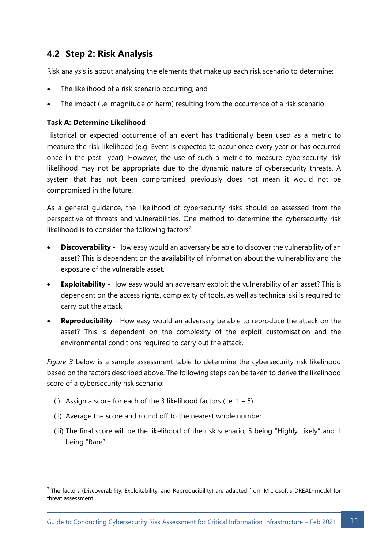### <span id="page-11-0"></span>**4.2 Step 2: Risk Analysis**

Risk analysis is about analysing the elements that make up each risk scenario to determine:

- The likelihood of a risk scenario occurring; and
- The impact (i.e. magnitude of harm) resulting from the occurrence of a risk scenario

#### **Task A: Determine Likelihood**

Historical or expected occurrence of an event has traditionally been used as a metric to measure the risk likelihood (e.g. Event is expected to occur once every year or has occurred once in the past year). However, the use of such a metric to measure cybersecurity risk likelihood may not be appropriate due to the dynamic nature of cybersecurity threats. A system that has not been compromised previously does not mean it would not be compromised in the future.

As a general guidance, the likelihood of cybersecurity risks should be assessed from the perspective of threats and vulnerabilities. One method to determine the cybersecurity risk likelihood is to consider the following factors<sup>7</sup>:

- **Discoverability** How easy would an adversary be able to discover the vulnerability of an asset? This is dependent on the availability of information about the vulnerability and the exposure of the vulnerable asset.
- **Exploitability** How easy would an adversary exploit the vulnerability of an asset? This is dependent on the access rights, complexity of tools, as well as technical skills required to carry out the attack.
- **Reproducibility** How easy would an adversary be able to reproduce the attack on the asset? This is dependent on the complexity of the exploit customisation and the environmental conditions required to carry out the attack.

*Figure 3* below is a sample assessment table to determine the cybersecurity risk likelihood based on the factors described above. The following steps can be taken to derive the likelihood score of a cybersecurity risk scenario:

- (i) Assign a score for each of the 3 likelihood factors (i.e.  $1 5$ )
- (ii) Average the score and round off to the nearest whole number
- (iii) The final score will be the likelihood of the risk scenario; 5 being "Highly Likely" and 1 being "Rare"

 $<sup>7</sup>$  The factors (Discoverability, Exploitability, and Reproducibility) are adapted from Microsoft's DREAD model for</sup> threat assessment.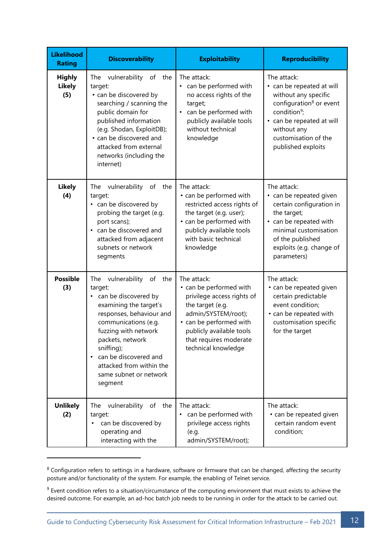| <b>Likelihood</b><br><b>Rating</b>    | <b>Discoverability</b>                                                                                                                                                                                                                                                                                                | <b>Exploitability</b>                                                                                                                                                                                                   | <b>Reproducibility</b>                                                                                                                                                                                                        |  |
|---------------------------------------|-----------------------------------------------------------------------------------------------------------------------------------------------------------------------------------------------------------------------------------------------------------------------------------------------------------------------|-------------------------------------------------------------------------------------------------------------------------------------------------------------------------------------------------------------------------|-------------------------------------------------------------------------------------------------------------------------------------------------------------------------------------------------------------------------------|--|
| <b>Highly</b><br><b>Likely</b><br>(5) | vulnerability<br>The<br>of<br>the<br>target:<br>• can be discovered by<br>searching / scanning the<br>public domain for<br>published information<br>(e.g. Shodan, ExploitDB);<br>• can be discovered and<br>attacked from external<br>networks (including the<br>internet)                                            | The attack:<br>can be performed with<br>٠<br>no access rights of the<br>target;<br>can be performed with<br>publicly available tools<br>without technical<br>knowledge                                                  | The attack:<br>• can be repeated at will<br>without any specific<br>configuration <sup>8</sup> or event<br>condition <sup>9</sup> ;<br>• can be repeated at will<br>without any<br>customisation of the<br>published exploits |  |
| <b>Likely</b><br>(4)                  | vulnerability<br>of<br>The<br>the<br>target:<br>• can be discovered by<br>probing the target (e.g.<br>port scans);<br>can be discovered and<br>attacked from adjacent<br>subnets or network<br>segments                                                                                                               | The attack:<br>• can be performed with<br>restricted access rights of<br>the target (e.g. user);<br>• can be performed with<br>publicly available tools<br>with basic technical<br>knowledge                            | The attack:<br>• can be repeated given<br>certain configuration in<br>the target;<br>• can be repeated with<br>minimal customisation<br>of the published<br>exploits (e.g. change of<br>parameters)                           |  |
| <b>Possible</b><br>(3)                | vulnerability<br>of<br>The<br>the<br>target:<br>• can be discovered by<br>examining the target's<br>responses, behaviour and<br>communications (e.g.<br>fuzzing with network<br>packets, network<br>sniffing);<br>can be discovered and<br>$\bullet$<br>attacked from within the<br>same subnet or network<br>segment | The attack:<br>• can be performed with<br>privilege access rights of<br>the target (e.g.<br>admin/SYSTEM/root);<br>• can be performed with<br>publicly available tools<br>that requires moderate<br>technical knowledge | The attack:<br>• can be repeated given<br>certain predictable<br>event condition;<br>• can be repeated with<br>customisation specific<br>for the target                                                                       |  |
| <b>Unlikely</b><br>(2)                | vulnerability of the<br>The<br>target:<br>can be discovered by<br>٠<br>operating and<br>interacting with the                                                                                                                                                                                                          | The attack:<br>can be performed with<br>$\bullet$<br>privilege access rights<br>(e.g.<br>admin/SYSTEM/root);                                                                                                            | The attack:<br>• can be repeated given<br>certain random event<br>condition;                                                                                                                                                  |  |

<sup>&</sup>lt;sup>8</sup> Configuration refers to settings in a hardware, software or firmware that can be changed, affecting the security posture and/or functionality of the system. For example, the enabling of Telnet service.

<sup>&</sup>lt;sup>9</sup> Event condition refers to a situation/circumstance of the computing environment that must exists to achieve the desired outcome. For example, an ad-hoc batch job needs to be running in order for the attack to be carried out.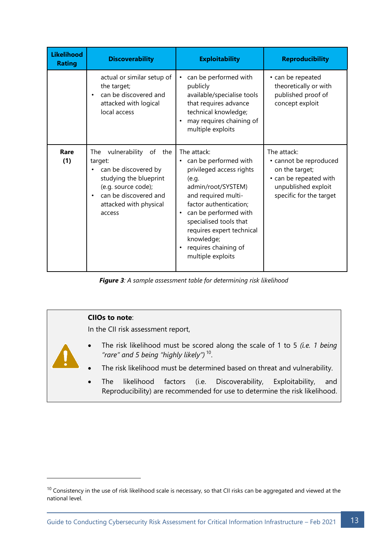| <b>Likelihood</b><br><b>Rating</b> | <b>Discoverability</b>                                                                                                                                                                       | <b>Exploitability</b>                                                                                                                                                                                                                                                                                         | <b>Reproducibility</b>                                                                                                              |  |
|------------------------------------|----------------------------------------------------------------------------------------------------------------------------------------------------------------------------------------------|---------------------------------------------------------------------------------------------------------------------------------------------------------------------------------------------------------------------------------------------------------------------------------------------------------------|-------------------------------------------------------------------------------------------------------------------------------------|--|
|                                    | actual or similar setup of<br>the target;<br>can be discovered and<br>$\bullet$<br>attacked with logical<br>local access                                                                     | can be performed with<br>$\bullet$<br>publicly<br>available/specialise tools<br>that requires advance<br>technical knowledge;<br>may requires chaining of<br>multiple exploits                                                                                                                                | • can be repeated<br>theoretically or with<br>published proof of<br>concept exploit                                                 |  |
| Rare<br>(1)                        | vulnerability of<br>The<br>the<br>target:<br>can be discovered by<br>studying the blueprint<br>(e.g. source code);<br>can be discovered and<br>$\bullet$<br>attacked with physical<br>access | The attack:<br>can be performed with<br>$\bullet$<br>privileged access rights<br>(e.q.<br>admin/root/SYSTEM)<br>and required multi-<br>factor authentication;<br>can be performed with<br>٠<br>specialised tools that<br>requires expert technical<br>knowledge;<br>requires chaining of<br>multiple exploits | The attack:<br>• cannot be reproduced<br>on the target;<br>• can be repeated with<br>unpublished exploit<br>specific for the target |  |

*Figure 3: A sample assessment table for determining risk likelihood*

## **CIIOs to note**: In the CII risk assessment report, • The risk likelihood must be scored along the scale of 1 to 5 *(i.e. 1 being "rare" and 5 being "highly likely")* <sup>10</sup> . The risk likelihood must be determined based on threat and vulnerability. The likelihood factors (i.e. Discoverability, Exploitability, and Reproducibility) are recommended for use to determine the risk likelihood.

 $10$  Consistency in the use of risk likelihood scale is necessary, so that CII risks can be aggregated and viewed at the national level.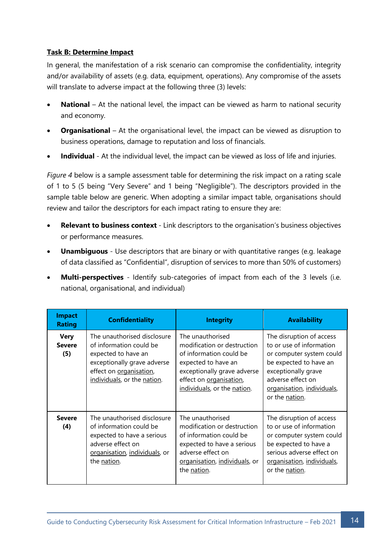#### **Task B: Determine Impact**

In general, the manifestation of a risk scenario can compromise the confidentiality, integrity and/or availability of assets (e.g. data, equipment, operations). Any compromise of the assets will translate to adverse impact at the following three (3) levels:

- **National** At the national level, the impact can be viewed as harm to national security and economy.
- **Organisational** At the organisational level, the impact can be viewed as disruption to business operations, damage to reputation and loss of financials.
- **Individual** At the individual level, the impact can be viewed as loss of life and injuries.

*Figure 4* below is a sample assessment table for determining the risk impact on a rating scale of 1 to 5 (5 being "Very Severe" and 1 being "Negligible"). The descriptors provided in the sample table below are generic. When adopting a similar impact table, organisations should review and tailor the descriptors for each impact rating to ensure they are:

- **Relevant to business context** Link descriptors to the organisation's business objectives or performance measures.
- **Unambiguous** Use descriptors that are binary or with quantitative ranges (e.g. leakage of data classified as "Confidential", disruption of services to more than 50% of customers)
- **Multi-perspectives** Identify sub-categories of impact from each of the 3 levels (i.e. national, organisational, and individual)

| <b>Impact</b><br><b>Rating</b>      | <b>Confidentiality</b>                                                                                                                                                 | <b>Integrity</b>                                                                                                                                                                           | <b>Availability</b>                                                                                                                                                                                    |  |
|-------------------------------------|------------------------------------------------------------------------------------------------------------------------------------------------------------------------|--------------------------------------------------------------------------------------------------------------------------------------------------------------------------------------------|--------------------------------------------------------------------------------------------------------------------------------------------------------------------------------------------------------|--|
| <b>Very</b><br><b>Severe</b><br>(5) | The unauthorised disclosure<br>of information could be<br>expected to have an<br>exceptionally grave adverse<br>effect on organisation,<br>individuals, or the nation. | The unauthorised<br>modification or destruction<br>of information could be<br>expected to have an<br>exceptionally grave adverse<br>effect on organisation,<br>individuals, or the nation. | The disruption of access<br>to or use of information<br>or computer system could<br>be expected to have an<br>exceptionally grave<br>adverse effect on<br>organisation, individuals,<br>or the nation. |  |
| <b>Severe</b><br>(4)                | The unauthorised disclosure<br>of information could be<br>expected to have a serious<br>adverse effect on<br>organisation, individuals, or<br>the nation.              | The unauthorised<br>modification or destruction<br>of information could be<br>expected to have a serious<br>adverse effect on<br>organisation, individuals, or<br>the <u>nation</u> .      | The disruption of access<br>to or use of information<br>or computer system could<br>be expected to have a<br>serious adverse effect on<br>organisation, individuals,<br>or the nation.                 |  |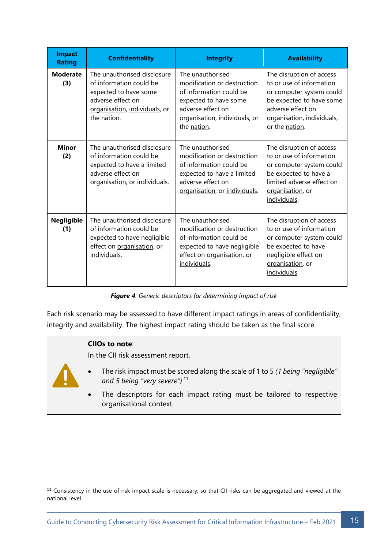| <b>Impact</b><br><b>Rating</b>                                                                                                                                  | <b>Confidentiality</b>                                                                                                                               | <b>Integrity</b>                                                                                                                                                         | <b>Availability</b>                                                                                                                                                               |  |
|-----------------------------------------------------------------------------------------------------------------------------------------------------------------|------------------------------------------------------------------------------------------------------------------------------------------------------|--------------------------------------------------------------------------------------------------------------------------------------------------------------------------|-----------------------------------------------------------------------------------------------------------------------------------------------------------------------------------|--|
| <b>Moderate</b><br>(3)                                                                                                                                          | The unauthorised disclosure<br>of information could be<br>expected to have some<br>adverse effect on<br>organisation, individuals, or<br>the nation. | The unauthorised<br>modification or destruction<br>of information could be<br>expected to have some<br>adverse effect on<br>organisation, individuals, or<br>the nation. | The disruption of access<br>to or use of information<br>or computer system could<br>be expected to have some<br>adverse effect on<br>organisation, individuals,<br>or the nation. |  |
| <b>Minor</b><br>(2)                                                                                                                                             | The unauthorised disclosure<br>of information could be<br>expected to have a limited<br>adverse effect on<br>organisation, or individuals.           | The unauthorised<br>modification or destruction<br>of information could be<br>expected to have a limited<br>adverse effect on<br>organisation, or individuals.           | The disruption of access<br>to or use of information<br>or computer system could<br>be expected to have a<br>limited adverse effect on<br>organisation, or<br>individuals.        |  |
| The unauthorised disclosure<br><b>Negligible</b><br>of information could be<br>(1)<br>expected to have negligible<br>effect on organisation, or<br>individuals. |                                                                                                                                                      | The unauthorised<br>modification or destruction<br>of information could be<br>expected to have negligible<br>effect on organisation, or<br>individuals.                  | The disruption of access<br>to or use of information<br>or computer system could<br>be expected to have<br>negligible effect on<br>organisation, or<br>individuals.               |  |

*Figure 4: Generic descriptors for determining impact of risk*

Each risk scenario may be assessed to have different impact ratings in areas of confidentiality, integrity and availability. The highest impact rating should be taken as the final score.

#### **CIIOs to note**:

In the CII risk assessment report,



- The risk impact must be scored along the scale of 1 to 5 *(1 being "negligible" and 5 being "very severe")* 11 .
- The descriptors for each impact rating must be tailored to respective organisational context.

<sup>&</sup>lt;sup>11</sup> Consistency in the use of risk impact scale is necessary, so that CII risks can be aggregated and viewed at the national level.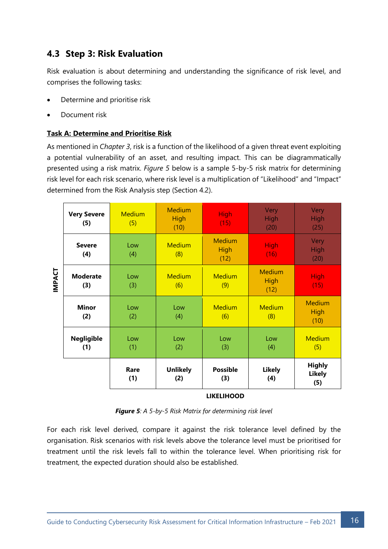## <span id="page-16-0"></span>**4.3 Step 3: Risk Evaluation**

Risk evaluation is about determining and understanding the significance of risk level, and comprises the following tasks:

- Determine and prioritise risk
- Document risk

#### **Task A: Determine and Prioritise Risk**

As mentioned in *Chapter 3*, risk is a function of the likelihood of a given threat event exploiting a potential vulnerability of an asset, and resulting impact. This can be diagrammatically presented using a risk matrix. *Figure 5* below is a sample 5-by-5 risk matrix for determining risk level for each risk scenario, where risk level is a multiplication of "Likelihood" and "Impact" determined from the Risk Analysis step (Section 4.2).

|               | <b>Very Severe</b><br>(5) | <b>Medium</b><br>(5) | <b>Medium</b><br><b>High</b><br>(10) | <b>High</b><br>(15)                  | Very<br><b>High</b><br>(20)          | Very<br>High<br>(25)                  |
|---------------|---------------------------|----------------------|--------------------------------------|--------------------------------------|--------------------------------------|---------------------------------------|
| <b>IMPACT</b> | <b>Severe</b><br>(4)      | Low<br>(4)           | <b>Medium</b><br>(8)                 | <b>Medium</b><br><b>High</b><br>(12) | <b>High</b><br>(16)                  | Very<br>High<br>(20)                  |
|               | <b>Moderate</b><br>(3)    | Low<br>(3)           | <b>Medium</b><br>(6)                 | <b>Medium</b><br>(9)                 | <b>Medium</b><br><b>High</b><br>(12) | <b>High</b><br>(15)                   |
|               | <b>Minor</b><br>(2)       | Low<br>(2)           | Low<br>(4)                           | <b>Medium</b><br>(6)                 | <b>Medium</b><br>(8)                 | <b>Medium</b><br>High<br>(10)         |
|               | <b>Negligible</b><br>(1)  | Low<br>(1)           | Low<br>(2)                           | Low<br>(3)                           | Low<br>(4)                           | <b>Medium</b><br>(5)                  |
|               |                           | Rare<br>(1)          | <b>Unlikely</b><br>(2)               | <b>Possible</b><br>(3)               | <b>Likely</b><br>(4)                 | <b>Highly</b><br><b>Likely</b><br>(5) |

#### **LIKELIHOOD**

|  |  |  | <b>Figure 5</b> : A 5-by-5 Risk Matrix for determining risk level |  |
|--|--|--|-------------------------------------------------------------------|--|
|  |  |  |                                                                   |  |

For each risk level derived, compare it against the risk tolerance level defined by the organisation. Risk scenarios with risk levels above the tolerance level must be prioritised for treatment until the risk levels fall to within the tolerance level. When prioritising risk for treatment, the expected duration should also be established.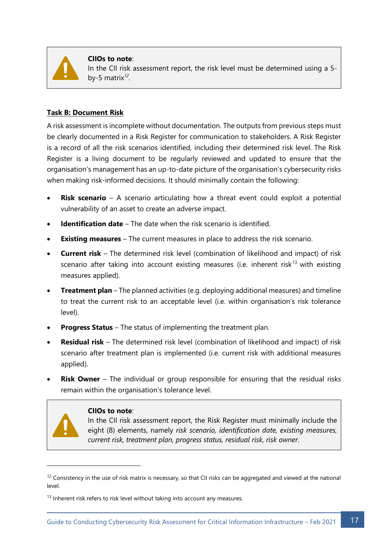

**CIIOs to note**: In the CII risk assessment report, the risk level must be determined using a 5 by-5 matrix*<sup>12</sup>* .

#### **Task B: Document Risk**

A risk assessment is incomplete without documentation. The outputs from previous steps must be clearly documented in a Risk Register for communication to stakeholders. A Risk Register is a record of all the risk scenarios identified, including their determined risk level. The Risk Register is a living document to be regularly reviewed and updated to ensure that the organisation's management has an up-to-date picture of the organisation's cybersecurity risks when making risk-informed decisions. It should minimally contain the following:

- **Risk scenario** A scenario articulating how a threat event could exploit a potential vulnerability of an asset to create an adverse impact.
- **Identification date** The date when the risk scenario is identified.
- **Existing measures** The current measures in place to address the risk scenario.
- **Current risk** The determined risk level (combination of likelihood and impact) of risk scenario after taking into account existing measures (i.e. inherent risk<sup>13</sup> with existing measures applied).
- **Treatment plan** The planned activities (e.g. deploying additional measures) and timeline to treat the current risk to an acceptable level (i.e. within organisation's risk tolerance level).
- **Progress Status** The status of implementing the treatment plan.
- **Residual risk** The determined risk level (combination of likelihood and impact) of risk scenario after treatment plan is implemented (i.e. current risk with additional measures applied).
- **Risk Owner** The individual or group responsible for ensuring that the residual risks remain within the organisation's tolerance level.



#### **CIIOs to note**:

In the CII risk assessment report, the Risk Register must minimally include the eight (8) elements, namely *risk scenario, identification date, existing measures, current risk, treatment plan, progress status, residual risk, risk owner*.

 $12$  Consistency in the use of risk matrix is necessary, so that CII risks can be aggregated and viewed at the national level.

 $13$  Inherent risk refers to risk level without taking into account any measures.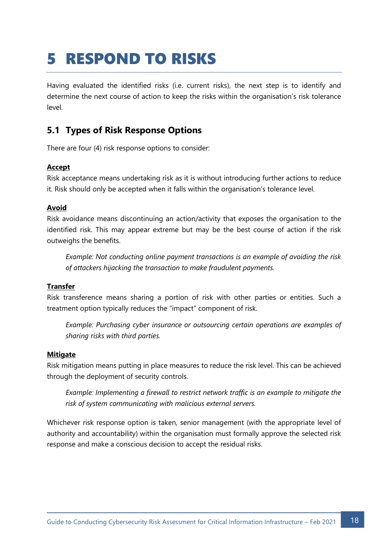## <span id="page-18-0"></span>5 RESPOND TO RISKS

Having evaluated the identified risks (i.e. current risks), the next step is to identify and determine the next course of action to keep the risks within the organisation's risk tolerance level.

## <span id="page-18-1"></span>**5.1 Types of Risk Response Options**

There are four (4) risk response options to consider:

#### **Accept**

Risk acceptance means undertaking risk as it is without introducing further actions to reduce it. Risk should only be accepted when it falls within the organisation's tolerance level.

#### **Avoid**

Risk avoidance means discontinuing an action/activity that exposes the organisation to the identified risk. This may appear extreme but may be the best course of action if the risk outweighs the benefits.

*Example: Not conducting online payment transactions is an example of avoiding the risk of attackers hijacking the transaction to make fraudulent payments.*

#### **Transfer**

Risk transference means sharing a portion of risk with other parties or entities. Such a treatment option typically reduces the "impact" component of risk.

*Example: Purchasing cyber insurance or outsourcing certain operations are examples of sharing risks with third parties.* 

#### **Mitigate**

Risk mitigation means putting in place measures to reduce the risk level. This can be achieved through the deployment of security controls.

*Example: Implementing a firewall to restrict network traffic is an example to mitigate the risk of system communicating with malicious external servers.* 

Whichever risk response option is taken, senior management (with the appropriate level of authority and accountability) within the organisation must formally approve the selected risk response and make a conscious decision to accept the residual risks.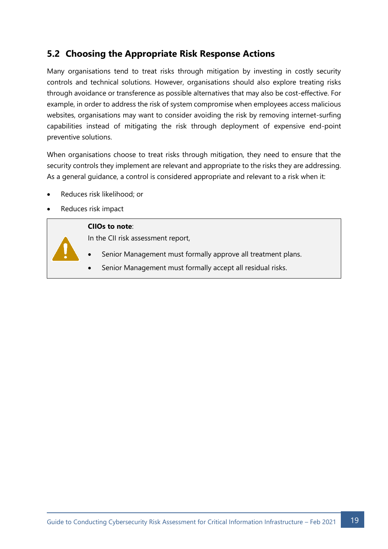## <span id="page-19-0"></span>**5.2 Choosing the Appropriate Risk Response Actions**

Many organisations tend to treat risks through mitigation by investing in costly security controls and technical solutions. However, organisations should also explore treating risks through avoidance or transference as possible alternatives that may also be cost-effective. For example, in order to address the risk of system compromise when employees access malicious websites, organisations may want to consider avoiding the risk by removing internet-surfing capabilities instead of mitigating the risk through deployment of expensive end-point preventive solutions.

When organisations choose to treat risks through mitigation, they need to ensure that the security controls they implement are relevant and appropriate to the risks they are addressing. As a general guidance, a control is considered appropriate and relevant to a risk when it:

- Reduces risk likelihood; or
- Reduces risk impact

#### **CIIOs to note**:

In the CII risk assessment report,

- Senior Management must formally approve all treatment plans.
- Senior Management must formally accept all residual risks.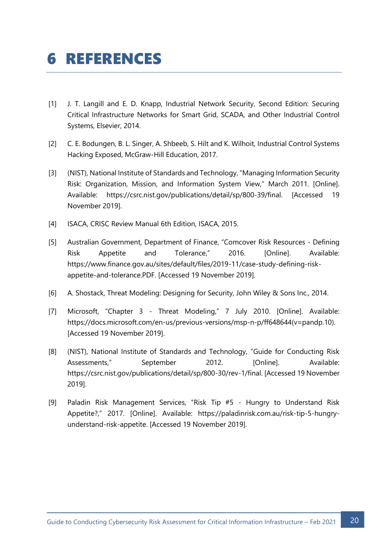## <span id="page-20-0"></span>6 REFERENCES

- [1] J. T. Langill and E. D. Knapp, Industrial Network Security, Second Edition: Securing Critical Infrastructure Networks for Smart Grid, SCADA, and Other Industrial Control Systems, Elsevier, 2014.
- [2] C. E. Bodungen, B. L. Singer, A. Shbeeb, S. Hilt and K. Wilhoit, Industrial Control Systems Hacking Exposed, McGraw-Hill Education, 2017.
- [3] (NIST), National Institute of Standards and Technology, "Managing Information Security Risk: Organization, Mission, and Information System View," March 2011. [Online]. Available: https://csrc.nist.gov/publications/detail/sp/800-39/final. [Accessed 19 November 2019].
- [4] ISACA, CRISC Review Manual 6th Edition, ISACA, 2015.
- [5] Australian Government, Department of Finance, "Comcover Risk Resources Defining Risk Appetite and Tolerance," 2016. [Online]. Available: https://www.finance.gov.au/sites/default/files/2019-11/case-study-defining-riskappetite-and-tolerance.PDF. [Accessed 19 November 2019].
- [6] A. Shostack, Threat Modeling: Designing for Security, John Wiley & Sons Inc., 2014.
- [7] Microsoft, "Chapter 3 Threat Modeling," 7 July 2010. [Online]. Available: https://docs.microsoft.com/en-us/previous-versions/msp-n-p/ff648644(v=pandp.10). [Accessed 19 November 2019].
- [8] (NIST), National Institute of Standards and Technology, "Guide for Conducting Risk Assessments," September 2012. [Online]. Available: https://csrc.nist.gov/publications/detail/sp/800-30/rev-1/final. [Accessed 19 November 2019].
- [9] Paladin Risk Management Services, "Risk Tip #5 Hungry to Understand Risk Appetite?," 2017. [Online]. Available: https://paladinrisk.com.au/risk-tip-5-hungryunderstand-risk-appetite. [Accessed 19 November 2019].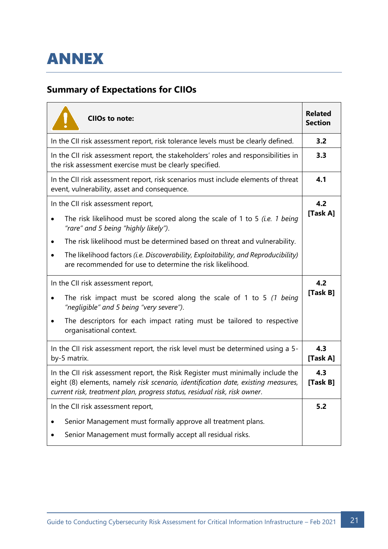<span id="page-21-0"></span>

## <span id="page-21-1"></span>**Summary of Expectations for CIIOs**

| <b>CIIOs to note:</b>                                                                                                                                                                                                                                                | <b>Related</b><br><b>Section</b> |
|----------------------------------------------------------------------------------------------------------------------------------------------------------------------------------------------------------------------------------------------------------------------|----------------------------------|
| In the CII risk assessment report, risk tolerance levels must be clearly defined.                                                                                                                                                                                    | 3.2                              |
| In the CII risk assessment report, the stakeholders' roles and responsibilities in<br>the risk assessment exercise must be clearly specified.                                                                                                                        | 3.3                              |
| In the CII risk assessment report, risk scenarios must include elements of threat<br>event, vulnerability, asset and consequence.                                                                                                                                    | 4.1                              |
| In the CII risk assessment report,<br>The risk likelihood must be scored along the scale of 1 to 5 (i.e. 1 being<br>$\bullet$<br>"rare" and 5 being "highly likely").<br>The risk likelihood must be determined based on threat and vulnerability.<br>$\bullet$      | 4.2<br>[Task A]                  |
| The likelihood factors (i.e. Discoverability, Exploitability, and Reproducibility)<br>are recommended for use to determine the risk likelihood.                                                                                                                      |                                  |
| In the CII risk assessment report,<br>The risk impact must be scored along the scale of 1 to 5 (1 being<br>$\bullet$<br>"negligible" and 5 being "very severe").<br>The descriptors for each impact rating must be tailored to respective<br>organisational context. | 4.2<br>[Task B]                  |
| In the CII risk assessment report, the risk level must be determined using a 5-<br>by-5 matrix.                                                                                                                                                                      | 4.3<br>[Task A]                  |
| In the CII risk assessment report, the Risk Register must minimally include the<br>eight (8) elements, namely risk scenario, identification date, existing measures,<br>current risk, treatment plan, progress status, residual risk, risk owner.                    | 4.3<br>[Task B]                  |
| In the CII risk assessment report,<br>Senior Management must formally approve all treatment plans.<br>Senior Management must formally accept all residual risks.<br>$\bullet$                                                                                        | 5.2                              |